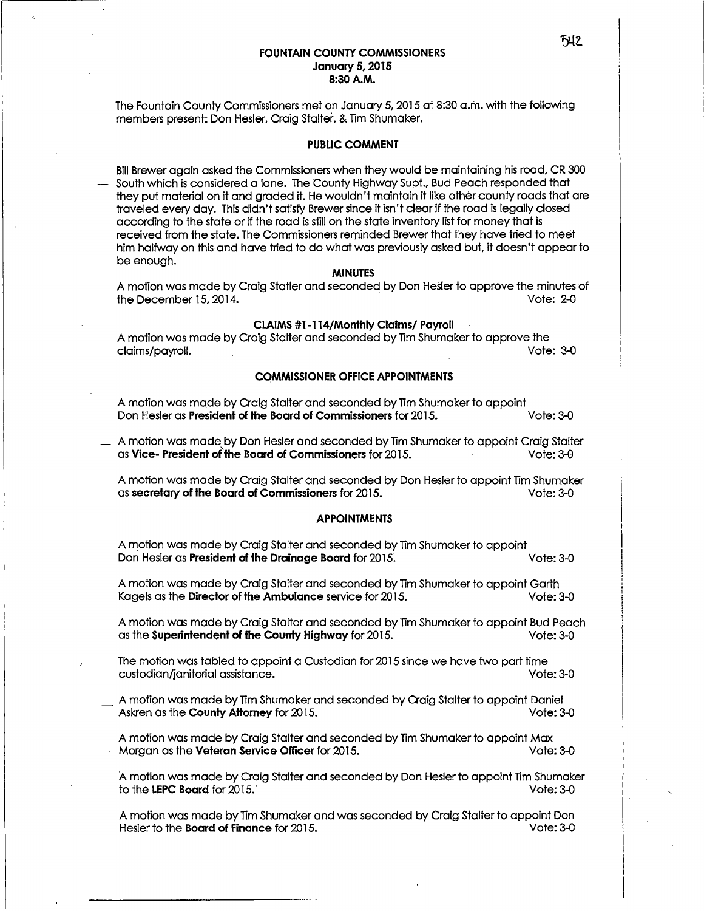### **FOUNTAIN COUNTY COMMISSIONERS January 5, 2015 8:30A.M.**

The Fountain County Commissioners met on January *5,* 2015 at 8:30 a.m. with the following members present: Don Hesler, Craig Stalter, & Tim Shumaker.

### **PUBLIC COMMENT**

Bill Brewer again asked the Commissioners when they would be maintaining his road, CR 300 South which is considered a lane. The County Highway Supt., Bud Peach responded that they put material on it and graded it. He wouldn't maintain it like other county roads that ore traveled every day. This didn't satisfy Brewer since it isn't clear if the road is legally closed according to the state or if the road is still on the state inventory list for money that is received from the state. The Commissioners reminded Brewer that they have tried to meet him halfway on this and have tried to do what was previously asked but, it doesn't appear to be enough.

#### **MINUTES**

A motion was made by Craig Statler and seconded by Don Hesler to approve the minutes of the December 15, 2014. Vote: 2-0

### **CLAIMS #1-114/Monthly Claims/ Payroll**

A motion was made by Craig Stalter and seconded by Tim Shumaker to approve the claims/payroll. Vote: 3-0

### **COMMISSIONER OFFICE APPOINtMENTS**

A motion was made by Craig Stalter and seconded by Tim Shumaker to appoint Don Hesler as **President of the Board of Commissioners** for 2015. Vote: 3-0

\_ A motion was made by Don Hesler and seconded by Tim Shumaker to appoint Craig Stalter as **Vice- President of' the Board of Commissioners** for 2015. · Vote: 3-0

A motion was made by Craig Stalter and seconded by Don Hesler to appoint Tim Shumaker as **secretary of the Board of Commissioners** for 2015. Vote: 3-0

# **APPOINTMENTS**

A motion was made by Craig Stalter and seconded by Tim Shumaker to appoint Don Hesler as **President of the Drainage Board** for 2015. Vote: 3-0

A motion was made by Craig Stalter and seconded by Tim Shumaker to appoint Garth Ka gels as the **Director of the Ambulance** service for 2015. Vote: 3-0

A motion was made by Craig Stalter and seconded by Tim Shumaker to appoint Bud Peach as the **Superintendent of the County Highway** for 2015. Vote: 3-0

The motion was tabled to appoint a Custodian for 2015 since we hove two part time custodian/janitorial assistance. Vote: 3-0

\_ A motion was made by Tim Shumaker and seconded by Craig Stalter to appoint Daniel Askren as the **County Attorney** for 2015. The state of the state of the Vote: 3-0

A motion was made by Craig Stalter and seconded by Tim Shumaker to appoint Max Morgan as the **Veteran Service Officer** for 2015. Note: 3-0

A motion was made by Craig Stalter and seconded by Don Hesler to appoint Tim Shumaker to the **LEPC Board** for 2015. · Vote: 3-0

A motion was made by Tim Shumaker and was seconded by Craig Stalter to appoint Don Hesler to the **Board of Finance** for 2015. Vote: 3-0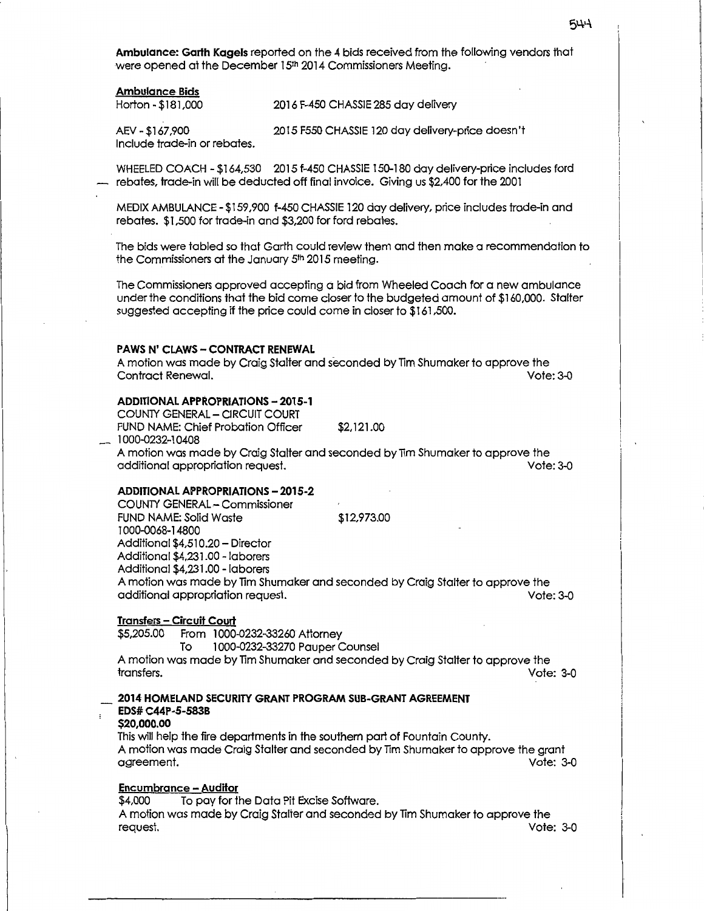**Ambulance: Garth Kagels** reported on the *4* bids received from the following vendors that were opened at the December 15th 2014 Commissioners Meeting.

### **Ambulance Bids**

Horton -\$181,000 2016 F-450 CHASSIE 285 day delivery

AEV-\$167,900 2015 F550 CHASSIE 120 day delivery-price doesn't Include trade-in or rebates.

WHEELED COACH - \$164,530 2015 f-450 CHASSIE 150-180 day delivery-price includes ford rebates, trade-in will be deducted off final invoice. Giving us \$2,400 for the 2001

MEDIX AMBULANCE - \$159 ,900 f-450 CHASSIE 120 day delivery, price includes trade-in and rebates. \$1,500 for trade-in and \$3,200 for ford rebates.

The bids were tabled so that Garth could review them and then make a recommendation to the Commissioners at the January 5<sup>th</sup> 2015 meeting.

The Commissioners approved accepting d bid from Wheeled Coach for a new ambulance under the conditions that the bid come closer to the budgeted amount of \$160,000. Stalter suggested accepting if the price could come in closer to \$161,500.

### **PAWS N' CLAWS - CONTRACT RENEWAL**

A motion was made by Craig Stalter and seconded by Tim Shumaker to approve the Contract Renewal.

#### **ADDITIONAL APPROPRIATIONS - 2015-1**

COUNTY GENERAL - CIRCUIT COURT FUND NAME: Chief Probation Officer \$2, 121.00 - 1000-0232-10408

A motion was made by Craig Stalter and seconded by Tim Shumaker to approve the additional appropriation request.

### **ADDITIONAL APPROPRIATIONS - 2015-2**

COUNTY GENERAL- Commissioner FUND NAME: Solid Waste \$12,973.00 1000-0068-14800 Additional \$4,510.20 - Director Additional \$4,231.00 - laborers Additional \$4,231.00 - laborers A motion was made by Tim Shumaker and seconded by Craig Stalter to approve the additional appropriation request.

### **Transfers - Circuit Court**

\$5,205.00 From 1000-0232-33260 Attorney

To 1000-0232-33270 Pauper Counsel

A motion was made by lim Shumaker and seconded by Craig Stalter to approve the transfers. Vote: 3-0

# **2014 HOMELAND SECURITY GRANT PROGRAM SUB-GRANT AGREEMENT EDS# C44P-5-583B**

#### **\$20,000.00**

This will help the fire departments in the southern part of Fountain County. A motion was made Craig Stalter and seconded by Tim Shumaker to approve the grant agreement.

# **Encumbrance - Auditor**

\$4,000 To pay for the Data Pit Excise Software. A motion was made by Craig Stalter and seconded by Tim Shumaker to approve the request. Vote: 3-0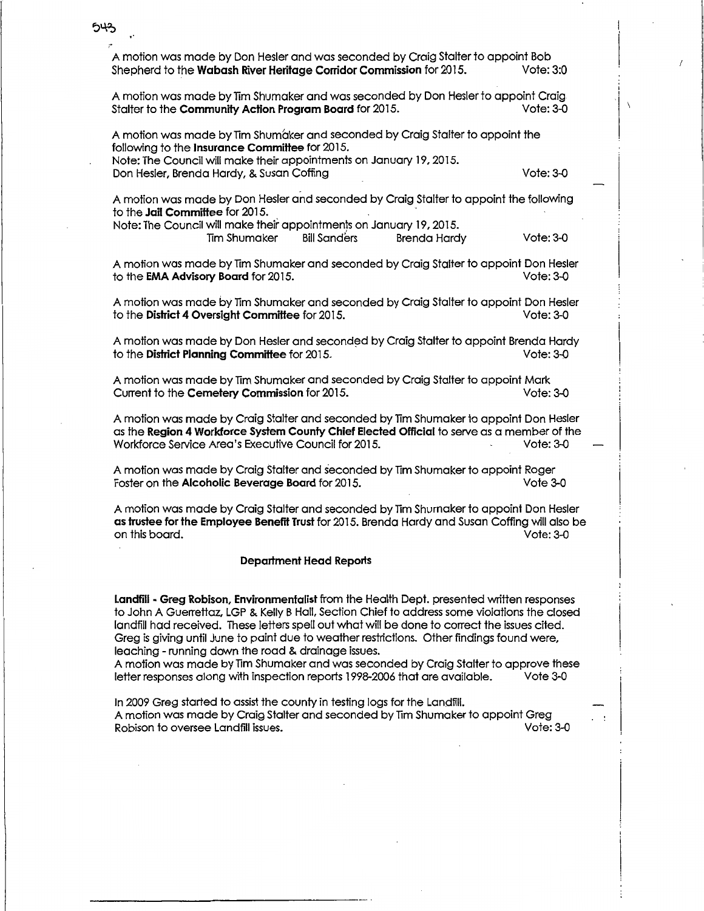A motion was made by Don Hesler and was seconded by Craig Stalter to appoint Bob Shepherd to the **Wabash River Heritage Corridor Commission** for 2015.

543

A motion was made by Tim Shumaker and was seconded by Don Hesler to appoint Craig<br>Stalter to the **Community Action Program Board** for 2015. Stalter to the **Community Action Program Board** for 2015.

A motion was made by Tim Shumaker and seconded by Craig Stalter to appoint the following to the **Insurance Committee** for 2015. Note: The Council will make their appointments on January 19. 2015. Don Hesler, Brenda Hardy, & Susan Coffing Vote: 3-0

A motion was made by Don Hesler and seconded by Craig Stalter to appoint the following to the **Jail Committee** for 2015. ·

Note: The Council will make their appointments on January 19. 2015. Tim Shumaker Bill Sanders Brenda Hardy Vote: 3-0

A motion was made by Tim Shumaker and seconded by Craig Stalter to appoint Don Hesler to the EMA Advisory Board for 2015. to the **EMA Advisory Board** for 2015.

A motion was made by Tim Shumaker and seconded by Craig Stalter to appoint Don Hesler<br>to the **District 4 Oversiaht Committee** for 2015. to the **District 4 Oversight Committee** for 2015.

A motion was made by Don Hesler and seconded by Craig Stalter to appoint Brenda Hardy to the **District Planning Committee** for 2015. Vote: 3-0

A motion was made by Tim Shumaker and seconded by Craig Stalter to appoint Mark<br>Current to the Cemetery Commission for 2015. Current to the **Cemetery Commission** for 2015.

A motion was made by Craig Stalter and seconded by Tim Shumaker to appoint Don Hesler as the **Region 4 Workforce System County Chief Elected Official** to serve as a member of the Workforce Service Area's Executive Council for 2015. Vote: 3-0

A motion was made by Craig Stalter and seconded by Tim Shumaker to appoint Roger<br>Foster on the **Alcoholic Beverage Board** for 2015. Foster on the **Alcoholic Beverage Board** for 2015.

A motion was made by Craig Stalter and seconded by Tim Shumaker to appoint Don Hesler **as trustee for the Employee Benefit Trust** for 2015. Brenda Hardy and Susan Coffing will also be on this board. Vote: 3-0

#### **Department Head Reports**

Landfill - Greg Robison, Environmentalist from the Health Dept. presented written responses to John A Guerrettaz, LGP & Kelly B Hall. Section Chief to address some violations the closed landfill had received. These letters spell out what will be done to correct the issues cited. Greg is giving until June to paint due to weather restrictions. Other findings found were. leaching - running down the road & drainage issues.

A motion was made by Tim Shumaker and was seconded by Craig Stalter to approve these letter responses along with inspection reports 1998-2006 that ore available. Vote 3-0

In 2009 Greg started to assist the county in testing logs for the Landfill. A motion was made by Craig Stalter and seconded by Tim Shumaker to appoint Greg Robison to oversee Landfill issues.